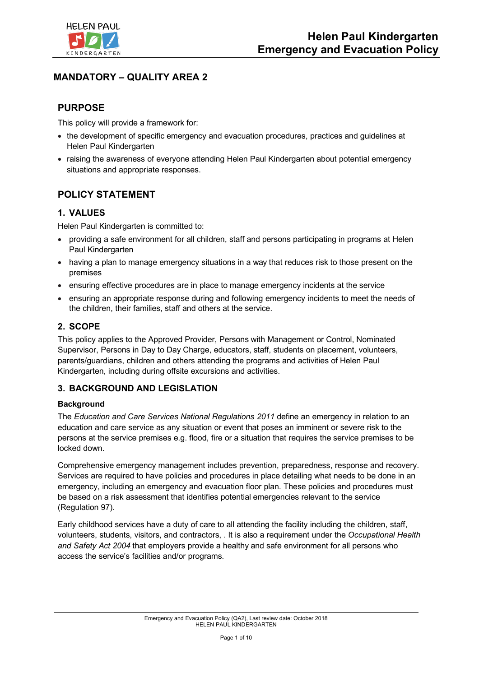

## **MANDATORY – QUALITY AREA 2**

## **PURPOSE**

This policy will provide a framework for:

- the development of specific emergency and evacuation procedures, practices and guidelines at Helen Paul Kindergarten
- raising the awareness of everyone attending Helen Paul Kindergarten about potential emergency situations and appropriate responses.

# **POLICY STATEMENT**

### **1. VALUES**

Helen Paul Kindergarten is committed to:

- providing a safe environment for all children, staff and persons participating in programs at Helen Paul Kindergarten
- having a plan to manage emergency situations in a way that reduces risk to those present on the premises
- ensuring effective procedures are in place to manage emergency incidents at the service
- ensuring an appropriate response during and following emergency incidents to meet the needs of the children, their families, staff and others at the service.

### **2. SCOPE**

This policy applies to the Approved Provider, Persons with Management or Control, Nominated Supervisor, Persons in Day to Day Charge, educators, staff, students on placement, volunteers, parents/guardians, children and others attending the programs and activities of Helen Paul Kindergarten, including during offsite excursions and activities.

### **3. BACKGROUND AND LEGISLATION**

### **Background**

The *Education and Care Services National Regulations 2011* define an emergency in relation to an education and care service as any situation or event that poses an imminent or severe risk to the persons at the service premises e.g. flood, fire or a situation that requires the service premises to be locked down.

Comprehensive emergency management includes prevention, preparedness, response and recovery. Services are required to have policies and procedures in place detailing what needs to be done in an emergency, including an emergency and evacuation floor plan. These policies and procedures must be based on a risk assessment that identifies potential emergencies relevant to the service (Regulation 97).

Early childhood services have a duty of care to all attending the facility including the children, staff, volunteers, students, visitors, and contractors, . It is also a requirement under the *Occupational Health and Safety Act 2004* that employers provide a healthy and safe environment for all persons who access the service's facilities and/or programs.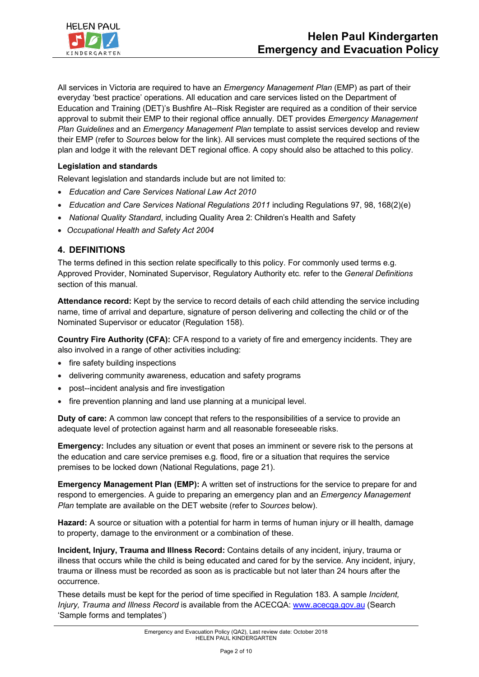

All services in Victoria are required to have an *Emergency Management Plan* (EMP) as part of their everyday 'best practice' operations. All education and care services listed on the Department of Education and Training (DET)'s Bushfire At--Risk Register are required as a condition of their service approval to submit their EMP to their regional office annually. DET provides *Emergency Management Plan Guidelines* and an *Emergency Management Plan* template to assist services develop and review their EMP (refer to *Sources* below for the link). All services must complete the required sections of the plan and lodge it with the relevant DET regional office. A copy should also be attached to this policy.

#### **Legislation and standards**

Relevant legislation and standards include but are not limited to:

- *Education and Care Services National Law Act 2010*
- *Education and Care Services National Regulations 2011* including Regulations 97, 98, 168(2)(e)
- *National Quality Standard*, including Quality Area 2: Children's Health and Safety
- *Occupational Health and Safety Act 2004*

#### **4. DEFINITIONS**

The terms defined in this section relate specifically to this policy. For commonly used terms e.g. Approved Provider, Nominated Supervisor, Regulatory Authority etc. refer to the *General Definitions*  section of this manual.

**Attendance record:** Kept by the service to record details of each child attending the service including name, time of arrival and departure, signature of person delivering and collecting the child or of the Nominated Supervisor or educator (Regulation 158).

**Country Fire Authority (CFA):** CFA respond to a variety of fire and emergency incidents. They are also involved in a range of other activities including:

- fire safety building inspections
- delivering community awareness, education and safety programs
- post--incident analysis and fire investigation
- fire prevention planning and land use planning at a municipal level.

**Duty of care:** A common law concept that refers to the responsibilities of a service to provide an adequate level of protection against harm and all reasonable foreseeable risks.

**Emergency:** Includes any situation or event that poses an imminent or severe risk to the persons at the education and care service premises e.g. flood, fire or a situation that requires the service premises to be locked down (National Regulations, page 21).

**Emergency Management Plan (EMP):** A written set of instructions for the service to prepare for and respond to emergencies. A guide to preparing an emergency plan and an *Emergency Management Plan* template are available on the DET website (refer to *Sources* below).

**Hazard:** A source or situation with a potential for harm in terms of human injury or ill health, damage to property, damage to the environment or a combination of these.

**Incident, Injury, Trauma and Illness Record:** Contains details of any incident, injury, trauma or illness that occurs while the child is being educated and cared for by the service. Any incident, injury, trauma or illness must be recorded as soon as is practicable but not later than 24 hours after the occurrence.

These details must be kept for the period of time specified in Regulation 183. A sample *Incident, Injury, Trauma and Illness Record* is available from the ACECQA: www.acecqa.gov.au (Search 'Sample forms and templates')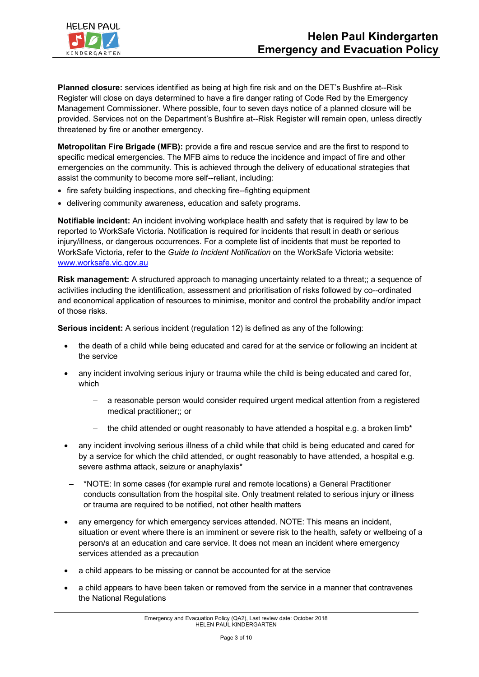

**Planned closure:** services identified as being at high fire risk and on the DET's Bushfire at--Risk Register will close on days determined to have a fire danger rating of Code Red by the Emergency Management Commissioner. Where possible, four to seven days notice of a planned closure will be provided. Services not on the Department's Bushfire at--Risk Register will remain open, unless directly threatened by fire or another emergency.

**Metropolitan Fire Brigade (MFB):** provide a fire and rescue service and are the first to respond to specific medical emergencies. The MFB aims to reduce the incidence and impact of fire and other emergencies on the community. This is achieved through the delivery of educational strategies that assist the community to become more self--reliant, including:

- fire safety building inspections, and checking fire--fighting equipment
- delivering community awareness, education and safety programs.

**Notifiable incident:** An incident involving workplace health and safety that is required by law to be reported to WorkSafe Victoria. Notification is required for incidents that result in death or serious injury/illness, or dangerous occurrences. For a complete list of incidents that must be reported to WorkSafe Victoria, refer to the *Guide to Incident Notification* on the WorkSafe Victoria website: www.worksafe.vic.gov.au

**Risk management:** A structured approach to managing uncertainty related to a threat;; a sequence of activities including the identification, assessment and prioritisation of risks followed by co--ordinated and economical application of resources to minimise, monitor and control the probability and/or impact of those risks.

**Serious incident:** A serious incident (regulation 12) is defined as any of the following:

- the death of a child while being educated and cared for at the service or following an incident at the service
- any incident involving serious injury or trauma while the child is being educated and cared for, which
	- a reasonable person would consider required urgent medical attention from a registered medical practitioner;; or
	- the child attended or ought reasonably to have attended a hospital e.g. a broken limb\*
- any incident involving serious illness of a child while that child is being educated and cared for by a service for which the child attended, or ought reasonably to have attended, a hospital e.g. severe asthma attack, seizure or anaphylaxis\*
- \*NOTE: In some cases (for example rural and remote locations) a General Practitioner conducts consultation from the hospital site. Only treatment related to serious injury or illness or trauma are required to be notified, not other health matters
- any emergency for which emergency services attended. NOTE: This means an incident, situation or event where there is an imminent or severe risk to the health, safety or wellbeing of a person/s at an education and care service. It does not mean an incident where emergency services attended as a precaution
- a child appears to be missing or cannot be accounted for at the service
- a child appears to have been taken or removed from the service in a manner that contravenes the National Regulations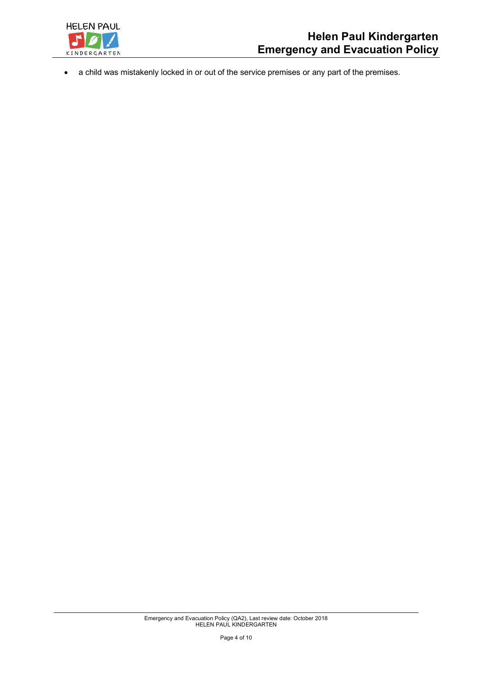

• a child was mistakenly locked in or out of the service premises or any part of the premises.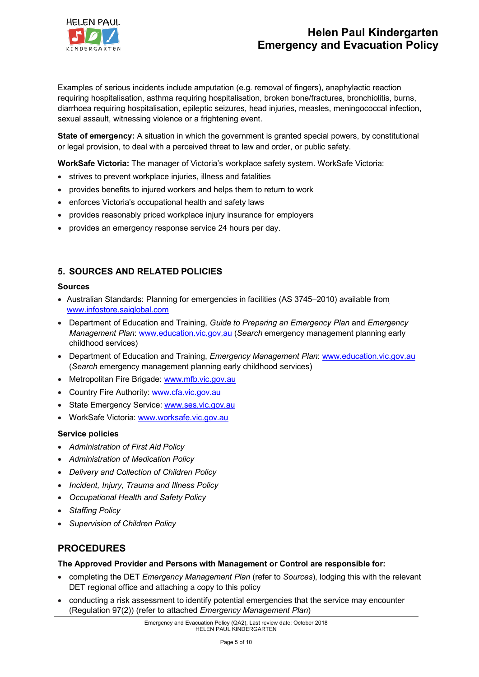

Examples of serious incidents include amputation (e.g. removal of fingers), anaphylactic reaction requiring hospitalisation, asthma requiring hospitalisation, broken bone/fractures, bronchiolitis, burns, diarrhoea requiring hospitalisation, epileptic seizures, head injuries, measles, meningococcal infection, sexual assault, witnessing violence or a frightening event.

**State of emergency:** A situation in which the government is granted special powers, by constitutional or legal provision, to deal with a perceived threat to law and order, or public safety.

**WorkSafe Victoria:** The manager of Victoria's workplace safety system. WorkSafe Victoria:

- strives to prevent workplace injuries, illness and fatalities
- provides benefits to injured workers and helps them to return to work
- enforces Victoria's occupational health and safety laws
- provides reasonably priced workplace injury insurance for employers
- provides an emergency response service 24 hours per day.

### **5. SOURCES AND RELATED POLICIES**

#### **Sources**

- Australian Standards: Planning for emergencies in facilities (AS 3745–2010) available from www.infostore.saiglobal.com
- Department of Education and Training, *Guide to Preparing an Emergency Plan* and *Emergency Management Plan*: www.education.vic.gov.au (*Search* emergency management planning early childhood services)
- Department of Education and Training, *Emergency Management Plan*: www.education.vic.gov.au (*Search* emergency management planning early childhood services)
- Metropolitan Fire Brigade: www.mfb.vic.gov.au
- Country Fire Authority: www.cfa.vic.gov.au
- State Emergency Service: www.ses.vic.gov.au
- WorkSafe Victoria: www.worksafe.vic.gov.au

#### **Service policies**

- *Administration of First Aid Policy*
- *Administration of Medication Policy*
- *Delivery and Collection of Children Policy*
- *Incident, Injury, Trauma and Illness Policy*
- *Occupational Health and Safety Policy*
- *Staffing Policy*
- *Supervision of Children Policy*

## **PROCEDURES**

#### **The Approved Provider and Persons with Management or Control are responsible for:**

- completing the DET *Emergency Management Plan* (refer to *Sources*), lodging this with the relevant DET regional office and attaching a copy to this policy
- conducting a risk assessment to identify potential emergencies that the service may encounter (Regulation 97(2)) (refer to attached *Emergency Management Plan*)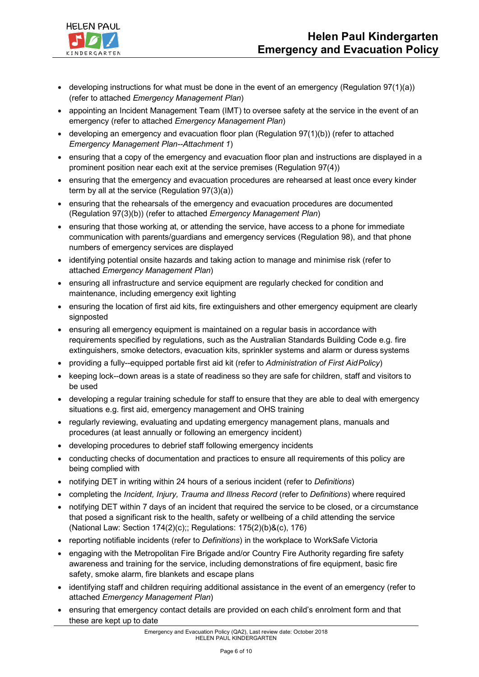

- developing instructions for what must be done in the event of an emergency (Regulation  $97(1)(a)$ ) (refer to attached *Emergency Management Plan*)
- appointing an Incident Management Team (IMT) to oversee safety at the service in the event of an emergency (refer to attached *Emergency Management Plan*)
- developing an emergency and evacuation floor plan (Regulation 97(1)(b)) (refer to attached *Emergency Management Plan--Attachment 1*)
- ensuring that a copy of the emergency and evacuation floor plan and instructions are displayed in a prominent position near each exit at the service premises (Regulation 97(4))
- ensuring that the emergency and evacuation procedures are rehearsed at least once every kinder term by all at the service (Regulation 97(3)(a))
- ensuring that the rehearsals of the emergency and evacuation procedures are documented (Regulation 97(3)(b)) (refer to attached *Emergency Management Plan*)
- ensuring that those working at, or attending the service, have access to a phone for immediate communication with parents/guardians and emergency services (Regulation 98), and that phone numbers of emergency services are displayed
- identifying potential onsite hazards and taking action to manage and minimise risk (refer to attached *Emergency Management Plan*)
- ensuring all infrastructure and service equipment are regularly checked for condition and maintenance, including emergency exit lighting
- ensuring the location of first aid kits, fire extinguishers and other emergency equipment are clearly signposted
- ensuring all emergency equipment is maintained on a regular basis in accordance with requirements specified by regulations, such as the Australian Standards Building Code e.g. fire extinguishers, smoke detectors, evacuation kits, sprinkler systems and alarm or duress systems
- providing a fully--equipped portable first aid kit (refer to *Administration of First AidPolicy*)
- keeping lock--down areas is a state of readiness so they are safe for children, staff and visitors to be used
- developing a regular training schedule for staff to ensure that they are able to deal with emergency situations e.g. first aid, emergency management and OHS training
- regularly reviewing, evaluating and updating emergency management plans, manuals and procedures (at least annually or following an emergency incident)
- developing procedures to debrief staff following emergency incidents
- conducting checks of documentation and practices to ensure all requirements of this policy are being complied with
- notifying DET in writing within 24 hours of a serious incident (refer to *Definitions*)
- completing the *Incident, Injury, Trauma and Illness Record* (refer to *Definitions*) where required
- notifying DET within 7 days of an incident that required the service to be closed, or a circumstance that posed a significant risk to the health, safety or wellbeing of a child attending the service (National Law: Section 174(2)(c);; Regulations: 175(2)(b)&(c), 176)
- reporting notifiable incidents (refer to *Definitions*) in the workplace to WorkSafe Victoria
- engaging with the Metropolitan Fire Brigade and/or Country Fire Authority regarding fire safety awareness and training for the service, including demonstrations of fire equipment, basic fire safety, smoke alarm, fire blankets and escape plans
- identifying staff and children requiring additional assistance in the event of an emergency (refer to attached *Emergency Management Plan*)
- ensuring that emergency contact details are provided on each child's enrolment form and that these are kept up to date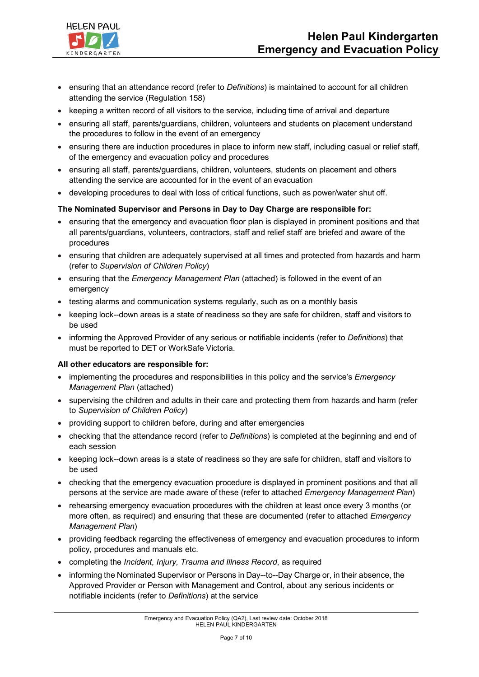

- ensuring that an attendance record (refer to *Definitions*) is maintained to account for all children attending the service (Regulation 158)
- keeping a written record of all visitors to the service, including time of arrival and departure
- ensuring all staff, parents/guardians, children, volunteers and students on placement understand the procedures to follow in the event of an emergency
- ensuring there are induction procedures in place to inform new staff, including casual or relief staff, of the emergency and evacuation policy and procedures
- ensuring all staff, parents/guardians, children, volunteers, students on placement and others attending the service are accounted for in the event of an evacuation
- developing procedures to deal with loss of critical functions, such as power/water shut off.

#### **The Nominated Supervisor and Persons in Day to Day Charge are responsible for:**

- ensuring that the emergency and evacuation floor plan is displayed in prominent positions and that all parents/guardians, volunteers, contractors, staff and relief staff are briefed and aware of the procedures
- ensuring that children are adequately supervised at all times and protected from hazards and harm (refer to *Supervision of Children Policy*)
- ensuring that the *Emergency Management Plan* (attached) is followed in the event of an emergency
- testing alarms and communication systems regularly, such as on a monthly basis
- keeping lock--down areas is a state of readiness so they are safe for children, staff and visitors to be used
- informing the Approved Provider of any serious or notifiable incidents (refer to *Definitions*) that must be reported to DET or WorkSafe Victoria.

#### **All other educators are responsible for:**

- implementing the procedures and responsibilities in this policy and the service's *Emergency Management Plan* (attached)
- supervising the children and adults in their care and protecting them from hazards and harm (refer to *Supervision of Children Policy*)
- providing support to children before, during and after emergencies
- checking that the attendance record (refer to *Definitions*) is completed at the beginning and end of each session
- keeping lock--down areas is a state of readiness so they are safe for children, staff and visitors to be used
- checking that the emergency evacuation procedure is displayed in prominent positions and that all persons at the service are made aware of these (refer to attached *Emergency Management Plan*)
- rehearsing emergency evacuation procedures with the children at least once every 3 months (or more often, as required) and ensuring that these are documented (refer to attached *Emergency Management Plan*)
- providing feedback regarding the effectiveness of emergency and evacuation procedures to inform policy, procedures and manuals etc.
- completing the *Incident, Injury, Trauma and Illness Record*, as required
- informing the Nominated Supervisor or Persons in Day--to--Day Charge or, in their absence, the Approved Provider or Person with Management and Control, about any serious incidents or notifiable incidents (refer to *Definitions*) at the service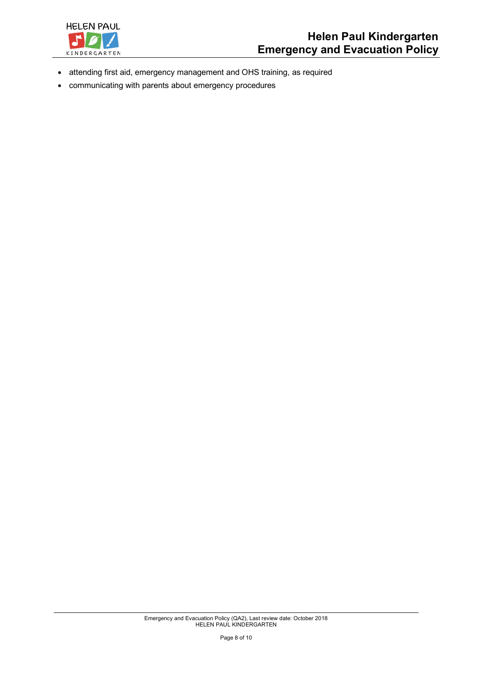

- attending first aid, emergency management and OHS training, as required
- communicating with parents about emergency procedures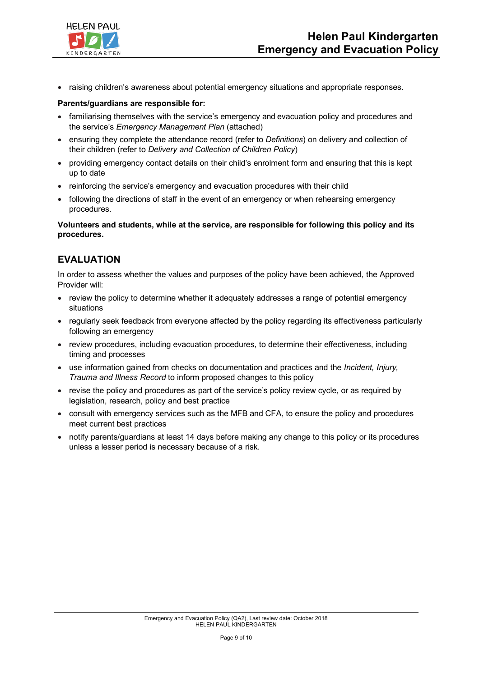

• raising children's awareness about potential emergency situations and appropriate responses.

#### **Parents/guardians are responsible for:**

- familiarising themselves with the service's emergency and evacuation policy and procedures and the service's *Emergency Management Plan* (attached)
- ensuring they complete the attendance record (refer to *Definitions*) on delivery and collection of their children (refer to *Delivery and Collection of Children Policy*)
- providing emergency contact details on their child's enrolment form and ensuring that this is kept up to date
- reinforcing the service's emergency and evacuation procedures with their child
- following the directions of staff in the event of an emergency or when rehearsing emergency procedures.

#### **Volunteers and students, while at the service, are responsible for following this policy and its procedures.**

## **EVALUATION**

In order to assess whether the values and purposes of the policy have been achieved, the Approved Provider will:

- review the policy to determine whether it adequately addresses a range of potential emergency situations
- regularly seek feedback from everyone affected by the policy regarding its effectiveness particularly following an emergency
- review procedures, including evacuation procedures, to determine their effectiveness, including timing and processes
- use information gained from checks on documentation and practices and the *Incident, Injury, Trauma and Illness Record* to inform proposed changes to this policy
- revise the policy and procedures as part of the service's policy review cycle, or as required by legislation, research, policy and best practice
- consult with emergency services such as the MFB and CFA, to ensure the policy and procedures meet current best practices
- notify parents/guardians at least 14 days before making any change to this policy or its procedures unless a lesser period is necessary because of a risk.